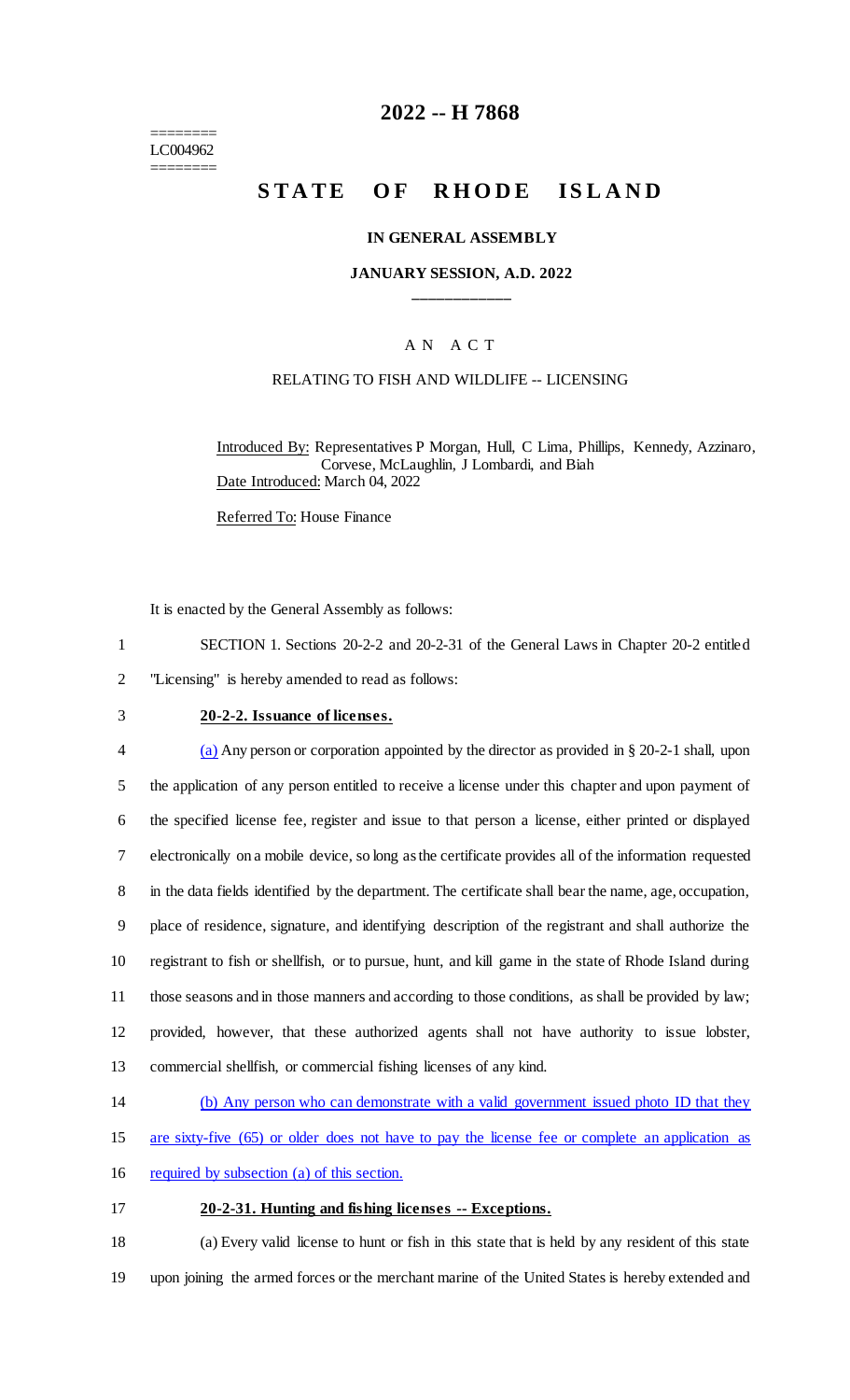======== LC004962 ========

# **2022 -- H 7868**

# **STATE OF RHODE ISLAND**

#### **IN GENERAL ASSEMBLY**

### **JANUARY SESSION, A.D. 2022 \_\_\_\_\_\_\_\_\_\_\_\_**

### A N A C T

### RELATING TO FISH AND WILDLIFE -- LICENSING

Introduced By: Representatives P Morgan, Hull, C Lima, Phillips, Kennedy, Azzinaro, Corvese, McLaughlin, J Lombardi, and Biah Date Introduced: March 04, 2022

Referred To: House Finance

It is enacted by the General Assembly as follows:

- 1 SECTION 1. Sections 20-2-2 and 20-2-31 of the General Laws in Chapter 20-2 entitled
- 2 "Licensing" is hereby amended to read as follows:
- 

### 3 **20-2-2. Issuance of licenses.**

4 (a) Any person or corporation appointed by the director as provided in § 20-2-1 shall, upon the application of any person entitled to receive a license under this chapter and upon payment of the specified license fee, register and issue to that person a license, either printed or displayed electronically on a mobile device, so long as the certificate provides all of the information requested in the data fields identified by the department. The certificate shall bear the name, age, occupation, place of residence, signature, and identifying description of the registrant and shall authorize the registrant to fish or shellfish, or to pursue, hunt, and kill game in the state of Rhode Island during those seasons and in those manners and according to those conditions, as shall be provided by law; provided, however, that these authorized agents shall not have authority to issue lobster, commercial shellfish, or commercial fishing licenses of any kind.

- 14 (b) Any person who can demonstrate with a valid government issued photo ID that they
- 15 are sixty-five (65) or older does not have to pay the license fee or complete an application as
- 16 required by subsection (a) of this section.

#### 17 **20-2-31. Hunting and fishing licenses -- Exceptions.**

18 (a) Every valid license to hunt or fish in this state that is held by any resident of this state 19 upon joining the armed forces or the merchant marine of the United States is hereby extended and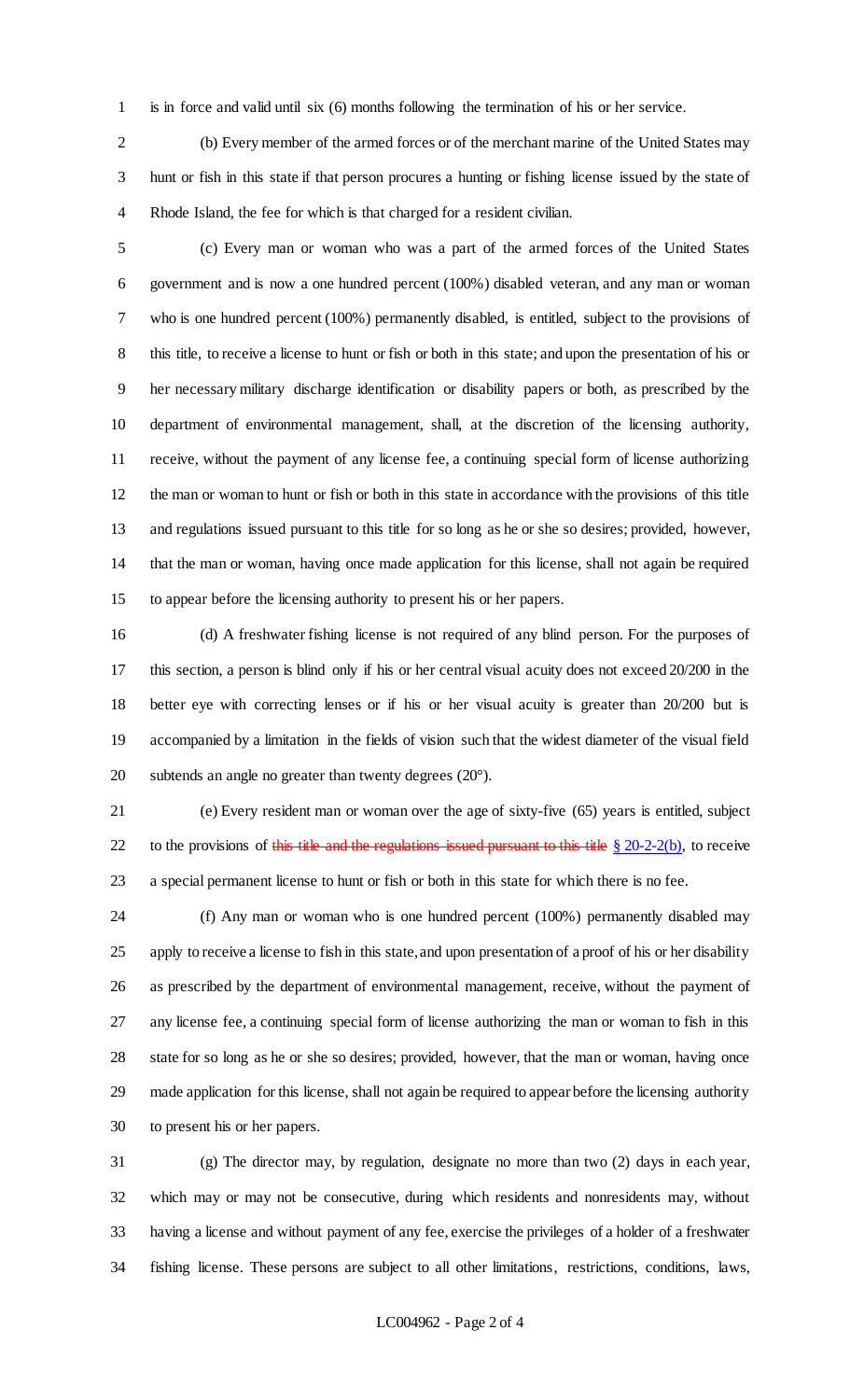is in force and valid until six (6) months following the termination of his or her service.

 (b) Every member of the armed forces or of the merchant marine of the United States may hunt or fish in this state if that person procures a hunting or fishing license issued by the state of Rhode Island, the fee for which is that charged for a resident civilian.

 (c) Every man or woman who was a part of the armed forces of the United States government and is now a one hundred percent (100%) disabled veteran, and any man or woman who is one hundred percent (100%) permanently disabled, is entitled, subject to the provisions of this title, to receive a license to hunt or fish or both in this state; and upon the presentation of his or her necessary military discharge identification or disability papers or both, as prescribed by the department of environmental management, shall, at the discretion of the licensing authority, receive, without the payment of any license fee, a continuing special form of license authorizing the man or woman to hunt or fish or both in this state in accordance with the provisions of this title and regulations issued pursuant to this title for so long as he or she so desires; provided, however, that the man or woman, having once made application for this license, shall not again be required to appear before the licensing authority to present his or her papers.

 (d) A freshwater fishing license is not required of any blind person. For the purposes of this section, a person is blind only if his or her central visual acuity does not exceed 20/200 in the better eye with correcting lenses or if his or her visual acuity is greater than 20/200 but is accompanied by a limitation in the fields of vision such that the widest diameter of the visual field subtends an angle no greater than twenty degrees (20°).

 (e) Every resident man or woman over the age of sixty-five (65) years is entitled, subject 22 to the provisions of this title and the regulations issued pursuant to this title  $\S 20-2-2(b)$ , to receive a special permanent license to hunt or fish or both in this state for which there is no fee.

 (f) Any man or woman who is one hundred percent (100%) permanently disabled may apply to receive a license to fish in this state, and upon presentation of a proof of his or her disability as prescribed by the department of environmental management, receive, without the payment of any license fee, a continuing special form of license authorizing the man or woman to fish in this state for so long as he or she so desires; provided, however, that the man or woman, having once made application for this license, shall not again be required to appear before the licensing authority to present his or her papers.

 (g) The director may, by regulation, designate no more than two (2) days in each year, which may or may not be consecutive, during which residents and nonresidents may, without having a license and without payment of any fee, exercise the privileges of a holder of a freshwater fishing license. These persons are subject to all other limitations, restrictions, conditions, laws,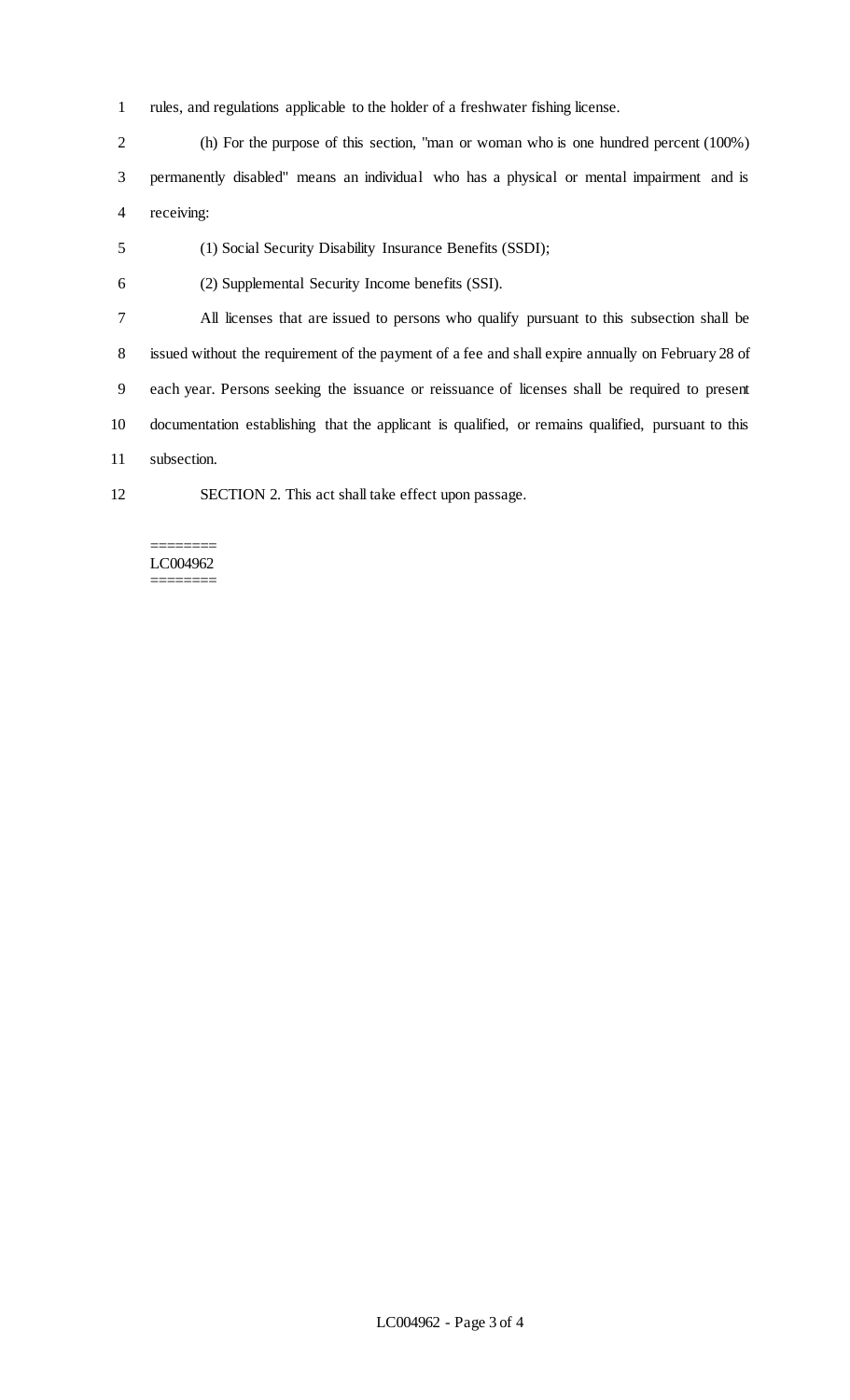rules, and regulations applicable to the holder of a freshwater fishing license.

 (h) For the purpose of this section, "man or woman who is one hundred percent (100%) permanently disabled" means an individual who has a physical or mental impairment and is receiving:

- (1) Social Security Disability Insurance Benefits (SSDI);
- (2) Supplemental Security Income benefits (SSI).

 All licenses that are issued to persons who qualify pursuant to this subsection shall be issued without the requirement of the payment of a fee and shall expire annually on February 28 of each year. Persons seeking the issuance or reissuance of licenses shall be required to present documentation establishing that the applicant is qualified, or remains qualified, pursuant to this subsection.

- 
- SECTION 2. This act shall take effect upon passage.

======== LC004962 ========